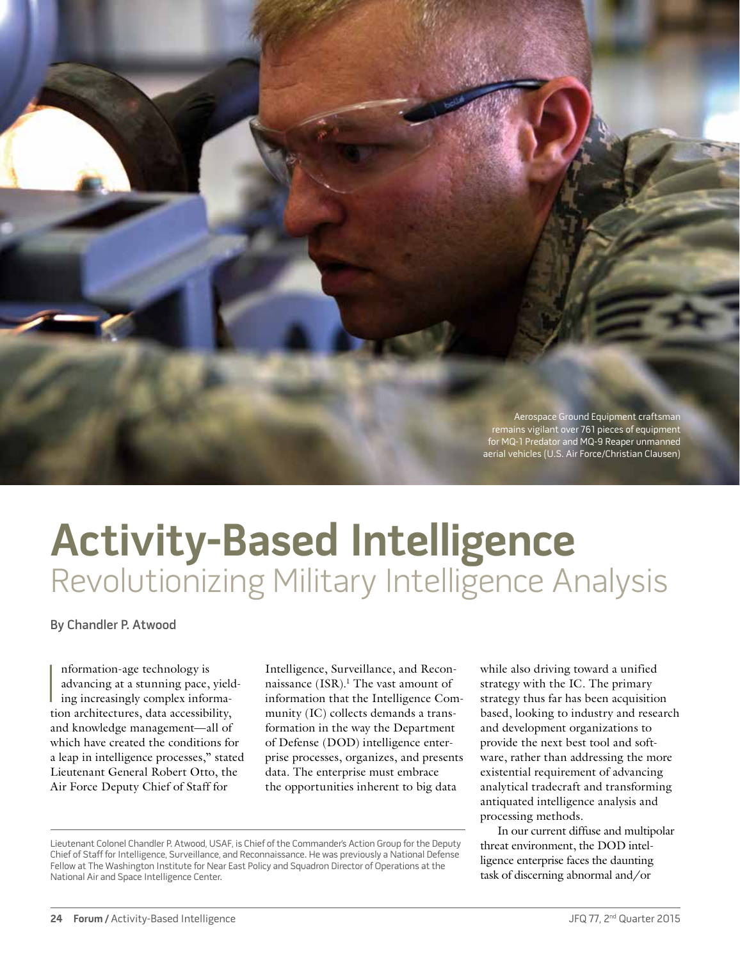

## **Activity-Based Intelligence** Revolutionizing Military Intelligence Analysis

By Chandler P. Atwood

Information-age technology is<br>advancing at a stunning pace, yield<br>ing increasingly complex informa-<br>tion architectures, data accessibility, nformation-age technology is advancing at a stunning pace, yielding increasingly complex informaand knowledge management—all of which have created the conditions for a leap in intelligence processes," stated Lieutenant General Robert Otto, the Air Force Deputy Chief of Staff for

Intelligence, Surveillance, and Reconnaissance (ISR).<sup>1</sup> The vast amount of information that the Intelligence Community (IC) collects demands a transformation in the way the Department of Defense (DOD) intelligence enterprise processes, organizes, and presents data. The enterprise must embrace the opportunities inherent to big data

while also driving toward a unified strategy with the IC. The primary strategy thus far has been acquisition based, looking to industry and research and development organizations to provide the next best tool and software, rather than addressing the more existential requirement of advancing analytical tradecraft and transforming antiquated intelligence analysis and processing methods.

In our current diffuse and multipolar threat environment, the DOD intelligence enterprise faces the daunting task of discerning abnormal and/or

Lieutenant Colonel Chandler P. Atwood, USAF, is Chief of the Commander's Action Group for the Deputy Chief of Staff for Intelligence, Surveillance, and Reconnaissance. He was previously a National Defense Fellow at The Washington Institute for Near East Policy and Squadron Director of Operations at the National Air and Space Intelligence Center.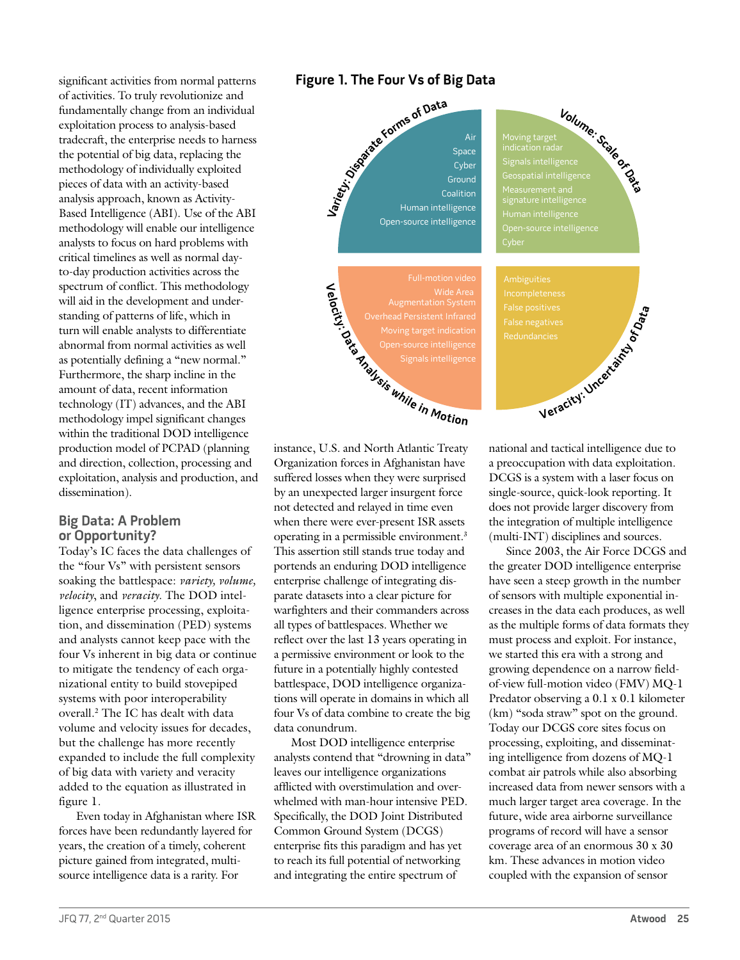significant activities from normal patterns of activities. To truly revolutionize and fundamentally change from an individual exploitation process to analysis-based tradecraft, the enterprise needs to harness the potential of big data, replacing the methodology of individually exploited pieces of data with an activity-based analysis approach, known as Activity-Based Intelligence (ABI). Use of the ABI methodology will enable our intelligence analysts to focus on hard problems with critical timelines as well as normal dayto-day production activities across the spectrum of conflict. This methodology will aid in the development and understanding of patterns of life, which in turn will enable analysts to differentiate abnormal from normal activities as well as potentially defining a "new normal." Furthermore, the sharp incline in the amount of data, recent information technology (IT) advances, and the ABI methodology impel significant changes within the traditional DOD intelligence production model of PCPAD (planning and direction, collection, processing and exploitation, analysis and production, and dissemination).

#### **Big Data: A Problem or Opportunity?**

Today's IC faces the data challenges of the "four Vs" with persistent sensors soaking the battlespace: *variety, volume, velocity*, and *veracity*. The DOD intelligence enterprise processing, exploitation, and dissemination (PED) systems and analysts cannot keep pace with the four Vs inherent in big data or continue to mitigate the tendency of each organizational entity to build stovepiped systems with poor interoperability overall.2 The IC has dealt with data volume and velocity issues for decades, but the challenge has more recently expanded to include the full complexity of big data with variety and veracity added to the equation as illustrated in figure 1.

Even today in Afghanistan where ISR forces have been redundantly layered for years, the creation of a timely, coherent picture gained from integrated, multisource intelligence data is a rarity. For

#### **Figure 1. The Four Vs of Big Data**



instance, U.S. and North Atlantic Treaty Organization forces in Afghanistan have suffered losses when they were surprised by an unexpected larger insurgent force not detected and relayed in time even when there were ever-present ISR assets operating in a permissible environment.3 This assertion still stands true today and portends an enduring DOD intelligence enterprise challenge of integrating disparate datasets into a clear picture for warfighters and their commanders across all types of battlespaces. Whether we reflect over the last 13 years operating in a permissive environment or look to the future in a potentially highly contested battlespace, DOD intelligence organizations will operate in domains in which all four Vs of data combine to create the big data conundrum.

Most DOD intelligence enterprise analysts contend that "drowning in data" leaves our intelligence organizations afflicted with overstimulation and overwhelmed with man-hour intensive PED. Specifically, the DOD Joint Distributed Common Ground System (DCGS) enterprise fits this paradigm and has yet to reach its full potential of networking and integrating the entire spectrum of

national and tactical intelligence due to a preoccupation with data exploitation. DCGS is a system with a laser focus on single-source, quick-look reporting. It does not provide larger discovery from the integration of multiple intelligence (multi-INT) disciplines and sources.

Since 2003, the Air Force DCGS and the greater DOD intelligence enterprise have seen a steep growth in the number of sensors with multiple exponential increases in the data each produces, as well as the multiple forms of data formats they must process and exploit. For instance, we started this era with a strong and growing dependence on a narrow fieldof-view full-motion video (FMV) MQ-1 Predator observing a 0.1 x 0.1 kilometer (km) "soda straw" spot on the ground. Today our DCGS core sites focus on processing, exploiting, and disseminating intelligence from dozens of MQ-1 combat air patrols while also absorbing increased data from newer sensors with a much larger target area coverage. In the future, wide area airborne surveillance programs of record will have a sensor coverage area of an enormous 30 x 30 km. These advances in motion video coupled with the expansion of sensor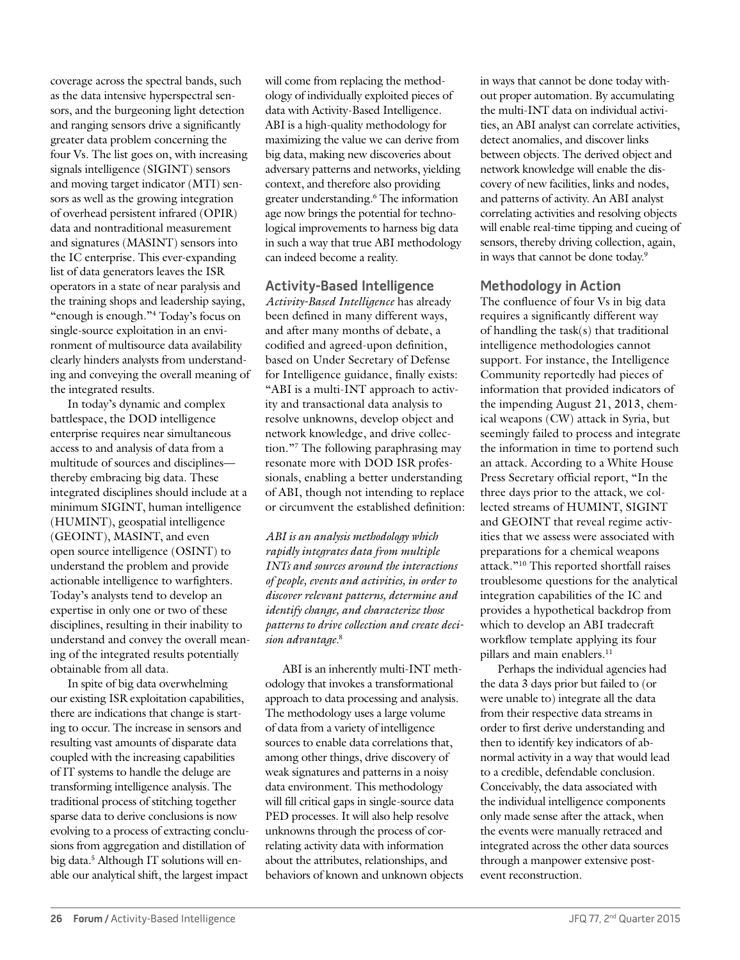coverage across the spectral bands, such as the data intensive hyperspectral sensors, and the burgeoning light detection and ranging sensors drive a significantly greater data problem concerning the four Vs. The list goes on, with increasing signals intelligence (SIGINT) sensors and moving target indicator (MTI) sensors as well as the growing integration of overhead persistent infrared (OPIR) data and nontraditional measurement and signatures (MASINT) sensors into the IC enterprise. This ever-expanding list of data generators leaves the ISR operators in a state of near paralysis and the training shops and leadership saying, "enough is enough."4 Today's focus on single-source exploitation in an environment of multisource data availability clearly hinders analysts from understanding and conveying the overall meaning of the integrated results.

In today's dynamic and complex battlespace, the DOD intelligence enterprise requires near simultaneous access to and analysis of data from a multitude of sources and disciplines thereby embracing big data. These integrated disciplines should include at a minimum SIGINT, human intelligence (HUMINT), geospatial intelligence (GEOINT), MASINT, and even open source intelligence (OSINT) to understand the problem and provide actionable intelligence to warfighters. Today's analysts tend to develop an expertise in only one or two of these disciplines, resulting in their inability to understand and convey the overall meaning of the integrated results potentially obtainable from all data.

In spite of big data overwhelming our existing ISR exploitation capabilities, there are indications that change is starting to occur. The increase in sensors and resulting vast amounts of disparate data coupled with the increasing capabilities of IT systems to handle the deluge are transforming intelligence analysis. The traditional process of stitching together sparse data to derive conclusions is now evolving to a process of extracting conclusions from aggregation and distillation of big data.5 Although IT solutions will enable our analytical shift, the largest impact

will come from replacing the methodology of individually exploited pieces of data with Activity-Based Intelligence. ABI is a high-quality methodology for maximizing the value we can derive from big data, making new discoveries about adversary patterns and networks, yielding context, and therefore also providing greater understanding.6 The information age now brings the potential for technological improvements to harness big data in such a way that true ABI methodology can indeed become a reality.

#### **Activity-Based Intelligence**

*Activity-Based Intelligence* has already been defined in many different ways, and after many months of debate, a codified and agreed-upon definition, based on Under Secretary of Defense for Intelligence guidance, finally exists: "ABI is a multi-INT approach to activity and transactional data analysis to resolve unknowns, develop object and network knowledge, and drive collection."7 The following paraphrasing may resonate more with DOD ISR professionals, enabling a better understanding of ABI, though not intending to replace or circumvent the established definition:

*ABI is an analysis methodology which rapidly integrates data from multiple INTs and sources around the interactions of people, events and activities, in order to discover relevant patterns, determine and identify change, and characterize those patterns to drive collection and create decision advantage.*<sup>8</sup>

ABI is an inherently multi-INT methodology that invokes a transformational approach to data processing and analysis. The methodology uses a large volume of data from a variety of intelligence sources to enable data correlations that, among other things, drive discovery of weak signatures and patterns in a noisy data environment. This methodology will fill critical gaps in single-source data PED processes. It will also help resolve unknowns through the process of correlating activity data with information about the attributes, relationships, and behaviors of known and unknown objects in ways that cannot be done today without proper automation. By accumulating the multi-INT data on individual activities, an ABI analyst can correlate activities, detect anomalies, and discover links between objects. The derived object and network knowledge will enable the discovery of new facilities, links and nodes, and patterns of activity. An ABI analyst correlating activities and resolving objects will enable real-time tipping and cueing of sensors, thereby driving collection, again, in ways that cannot be done today.<sup>9</sup>

#### **Methodology in Action**

The confluence of four Vs in big data requires a significantly different way of handling the task(s) that traditional intelligence methodologies cannot support. For instance, the Intelligence Community reportedly had pieces of information that provided indicators of the impending August 21, 2013, chemical weapons (CW) attack in Syria, but seemingly failed to process and integrate the information in time to portend such an attack. According to a White House Press Secretary official report, "In the three days prior to the attack, we collected streams of HUMINT, SIGINT and GEOINT that reveal regime activities that we assess were associated with preparations for a chemical weapons attack."10 This reported shortfall raises troublesome questions for the analytical integration capabilities of the IC and provides a hypothetical backdrop from which to develop an ABI tradecraft workflow template applying its four pillars and main enablers.<sup>11</sup>

Perhaps the individual agencies had the data 3 days prior but failed to (or were unable to) integrate all the data from their respective data streams in order to first derive understanding and then to identify key indicators of abnormal activity in a way that would lead to a credible, defendable conclusion. Conceivably, the data associated with the individual intelligence components only made sense after the attack, when the events were manually retraced and integrated across the other data sources through a manpower extensive postevent reconstruction.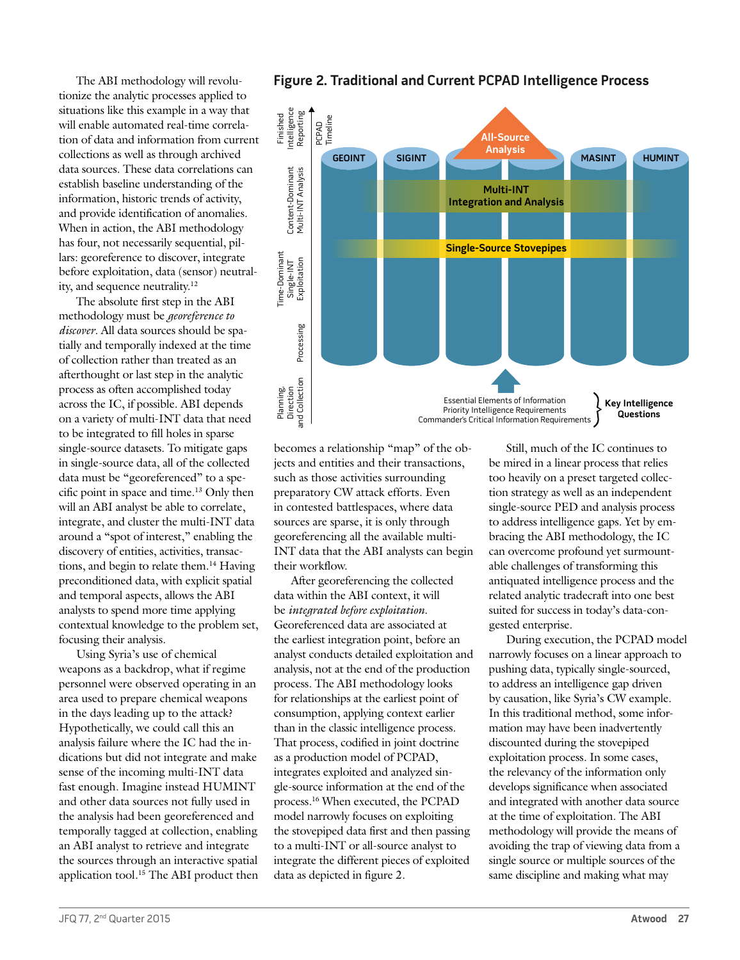The ABI methodology will revolutionize the analytic processes applied to situations like this example in a way that will enable automated real-time correlation of data and information from current collections as well as through archived data sources. These data correlations can establish baseline understanding of the information, historic trends of activity, and provide identification of anomalies. When in action, the ABI methodology has four, not necessarily sequential, pillars: georeference to discover, integrate before exploitation, data (sensor) neutrality, and sequence neutrality.12

The absolute first step in the ABI methodology must be *georeference to discover*. All data sources should be spatially and temporally indexed at the time of collection rather than treated as an afterthought or last step in the analytic process as often accomplished today across the IC, if possible. ABI depends on a variety of multi-INT data that need to be integrated to fill holes in sparse single-source datasets. To mitigate gaps in single-source data, all of the collected data must be "georeferenced" to a specific point in space and time.13 Only then will an ABI analyst be able to correlate, integrate, and cluster the multi-INT data around a "spot of interest," enabling the discovery of entities, activities, transactions, and begin to relate them.14 Having preconditioned data, with explicit spatial and temporal aspects, allows the ABI analysts to spend more time applying contextual knowledge to the problem set, focusing their analysis.

Using Syria's use of chemical weapons as a backdrop, what if regime personnel were observed operating in an area used to prepare chemical weapons in the days leading up to the attack? Hypothetically, we could call this an analysis failure where the IC had the indications but did not integrate and make sense of the incoming multi-INT data fast enough. Imagine instead HUMINT and other data sources not fully used in the analysis had been georeferenced and temporally tagged at collection, enabling an ABI analyst to retrieve and integrate the sources through an interactive spatial application tool.<sup>15</sup> The ABI product then



**Figure 2. Traditional and Current PCPAD Intelligence Process**

Essential Elements of Information Priority Intelligence Requirements Commander's Critical Information Requirements

**Key Intelligence Questions**

becomes a relationship "map" of the objects and entities and their transactions, such as those activities surrounding preparatory CW attack efforts. Even in contested battlespaces, where data sources are sparse, it is only through georeferencing all the available multi-INT data that the ABI analysts can begin their workflow.

After georeferencing the collected data within the ABI context, it will be *integrated before exploitation*. Georeferenced data are associated at the earliest integration point, before an analyst conducts detailed exploitation and analysis, not at the end of the production process. The ABI methodology looks for relationships at the earliest point of consumption, applying context earlier than in the classic intelligence process. That process, codified in joint doctrine as a production model of PCPAD, integrates exploited and analyzed single-source information at the end of the process.16 When executed, the PCPAD model narrowly focuses on exploiting the stovepiped data first and then passing to a multi-INT or all-source analyst to integrate the different pieces of exploited data as depicted in figure 2.

Still, much of the IC continues to be mired in a linear process that relies too heavily on a preset targeted collection strategy as well as an independent single-source PED and analysis process to address intelligence gaps. Yet by embracing the ABI methodology, the IC can overcome profound yet surmountable challenges of transforming this antiquated intelligence process and the related analytic tradecraft into one best suited for success in today's data-congested enterprise.

During execution, the PCPAD model narrowly focuses on a linear approach to pushing data, typically single-sourced, to address an intelligence gap driven by causation, like Syria's CW example. In this traditional method, some information may have been inadvertently discounted during the stovepiped exploitation process. In some cases, the relevancy of the information only develops significance when associated and integrated with another data source at the time of exploitation. The ABI methodology will provide the means of avoiding the trap of viewing data from a single source or multiple sources of the same discipline and making what may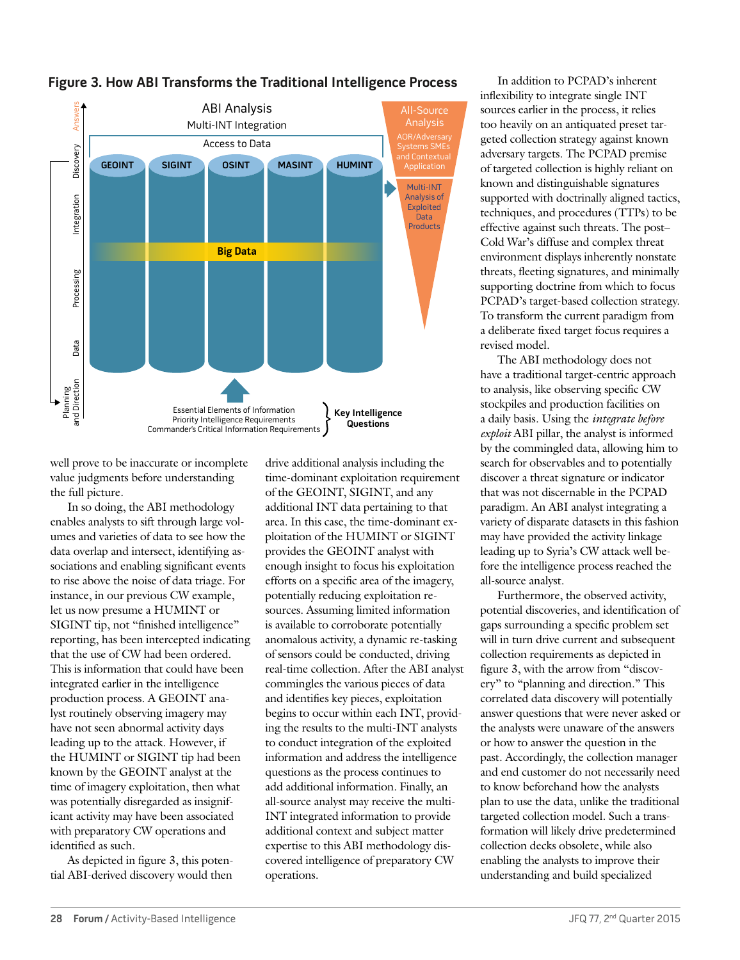

### **Figure 3. How ABI Transforms the Traditional Intelligence Process**

well prove to be inaccurate or incomplete value judgments before understanding the full picture.

In so doing, the ABI methodology enables analysts to sift through large volumes and varieties of data to see how the data overlap and intersect, identifying associations and enabling significant events to rise above the noise of data triage. For instance, in our previous CW example, let us now presume a HUMINT or SIGINT tip, not "finished intelligence" reporting, has been intercepted indicating that the use of CW had been ordered. This is information that could have been integrated earlier in the intelligence production process. A GEOINT analyst routinely observing imagery may have not seen abnormal activity days leading up to the attack. However, if the HUMINT or SIGINT tip had been known by the GEOINT analyst at the time of imagery exploitation, then what was potentially disregarded as insignificant activity may have been associated with preparatory CW operations and identified as such.

As depicted in figure 3, this potential ABI-derived discovery would then

drive additional analysis including the time-dominant exploitation requirement of the GEOINT, SIGINT, and any additional INT data pertaining to that area. In this case, the time-dominant exploitation of the HUMINT or SIGINT provides the GEOINT analyst with enough insight to focus his exploitation efforts on a specific area of the imagery, potentially reducing exploitation resources. Assuming limited information is available to corroborate potentially anomalous activity, a dynamic re-tasking of sensors could be conducted, driving real-time collection. After the ABI analyst commingles the various pieces of data and identifies key pieces, exploitation begins to occur within each INT, providing the results to the multi-INT analysts to conduct integration of the exploited information and address the intelligence questions as the process continues to add additional information. Finally, an all-source analyst may receive the multi-INT integrated information to provide additional context and subject matter expertise to this ABI methodology discovered intelligence of preparatory CW operations.

In addition to PCPAD's inherent inflexibility to integrate single INT sources earlier in the process, it relies too heavily on an antiquated preset targeted collection strategy against known adversary targets. The PCPAD premise of targeted collection is highly reliant on known and distinguishable signatures supported with doctrinally aligned tactics, techniques, and procedures (TTPs) to be effective against such threats. The post– Cold War's diffuse and complex threat environment displays inherently nonstate threats, fleeting signatures, and minimally supporting doctrine from which to focus PCPAD's target-based collection strategy. To transform the current paradigm from a deliberate fixed target focus requires a revised model.

The ABI methodology does not have a traditional target-centric approach to analysis, like observing specific CW stockpiles and production facilities on a daily basis. Using the *integrate before exploit* ABI pillar, the analyst is informed by the commingled data, allowing him to search for observables and to potentially discover a threat signature or indicator that was not discernable in the PCPAD paradigm. An ABI analyst integrating a variety of disparate datasets in this fashion may have provided the activity linkage leading up to Syria's CW attack well before the intelligence process reached the all-source analyst.

Furthermore, the observed activity, potential discoveries, and identification of gaps surrounding a specific problem set will in turn drive current and subsequent collection requirements as depicted in figure 3, with the arrow from "discovery" to "planning and direction." This correlated data discovery will potentially answer questions that were never asked or the analysts were unaware of the answers or how to answer the question in the past. Accordingly, the collection manager and end customer do not necessarily need to know beforehand how the analysts plan to use the data, unlike the traditional targeted collection model. Such a transformation will likely drive predetermined collection decks obsolete, while also enabling the analysts to improve their understanding and build specialized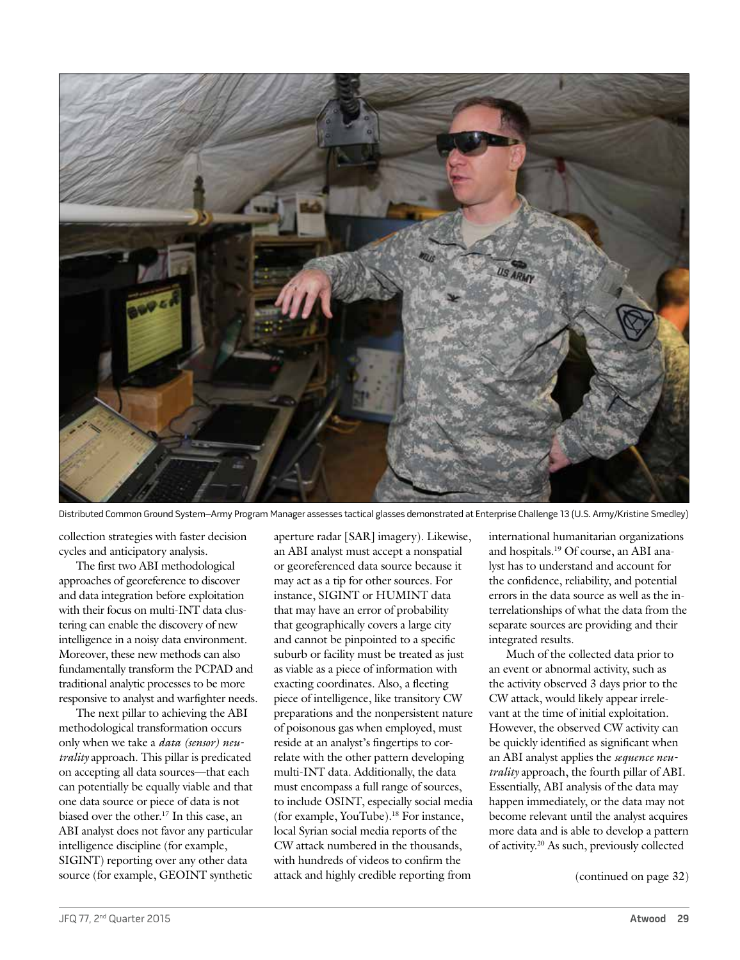

Distributed Common Ground System–Army Program Manager assesses tactical glasses demonstrated at Enterprise Challenge 13 (U.S. Army/Kristine Smedley)

collection strategies with faster decision cycles and anticipatory analysis.

The first two ABI methodological approaches of georeference to discover and data integration before exploitation with their focus on multi-INT data clustering can enable the discovery of new intelligence in a noisy data environment. Moreover, these new methods can also fundamentally transform the PCPAD and traditional analytic processes to be more responsive to analyst and warfighter needs.

The next pillar to achieving the ABI methodological transformation occurs only when we take a *data (sensor) neutrality* approach*.* This pillar is predicated on accepting all data sources—that each can potentially be equally viable and that one data source or piece of data is not biased over the other.17 In this case, an ABI analyst does not favor any particular intelligence discipline (for example, SIGINT) reporting over any other data source (for example, GEOINT synthetic aperture radar [SAR] imagery). Likewise, an ABI analyst must accept a nonspatial or georeferenced data source because it may act as a tip for other sources. For instance, SIGINT or HUMINT data that may have an error of probability that geographically covers a large city and cannot be pinpointed to a specific suburb or facility must be treated as just as viable as a piece of information with exacting coordinates. Also, a fleeting piece of intelligence, like transitory CW preparations and the nonpersistent nature of poisonous gas when employed, must reside at an analyst's fingertips to correlate with the other pattern developing multi-INT data. Additionally, the data must encompass a full range of sources, to include OSINT, especially social media (for example, YouTube).18 For instance, local Syrian social media reports of the CW attack numbered in the thousands, with hundreds of videos to confirm the attack and highly credible reporting from

international humanitarian organizations and hospitals.19 Of course, an ABI analyst has to understand and account for the confidence, reliability, and potential errors in the data source as well as the interrelationships of what the data from the separate sources are providing and their integrated results.

Much of the collected data prior to an event or abnormal activity, such as the activity observed 3 days prior to the CW attack, would likely appear irrelevant at the time of initial exploitation. However, the observed CW activity can be quickly identified as significant when an ABI analyst applies the *sequence neutrality* approach, the fourth pillar of ABI. Essentially, ABI analysis of the data may happen immediately, or the data may not become relevant until the analyst acquires more data and is able to develop a pattern of activity.20 As such, previously collected

(continued on page 32)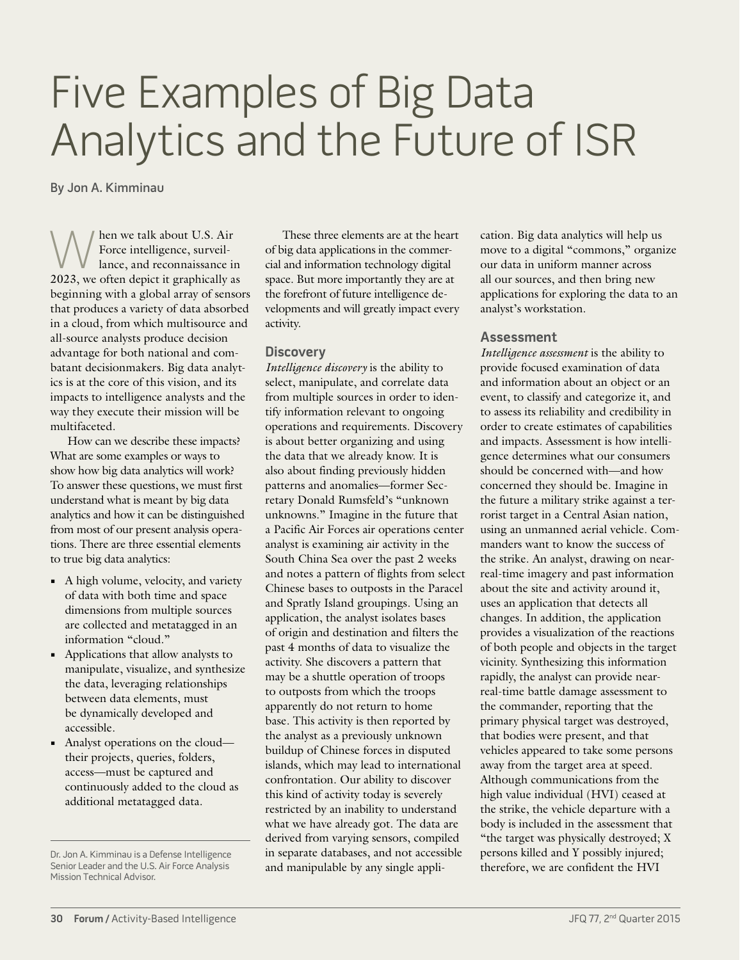# Five Examples of Big Data Analytics and the Future of ISR

By Jon A. Kimminau

When we talk about U.S. Air<br>Force intelligence, surveil-<br>2023 we often depict it graphically a Force intelligence, surveillance, and reconnaissance in 2023, we often depict it graphically as beginning with a global array of sensors that produces a variety of data absorbed in a cloud, from which multisource and all-source analysts produce decision advantage for both national and combatant decisionmakers. Big data analytics is at the core of this vision, and its impacts to intelligence analysts and the way they execute their mission will be multifaceted.

How can we describe these impacts? What are some examples or ways to show how big data analytics will work? To answer these questions, we must first understand what is meant by big data analytics and how it can be distinguished from most of our present analysis operations. There are three essential elements to true big data analytics:

- **•** A high volume, velocity, and variety of data with both time and space dimensions from multiple sources are collected and metatagged in an information "cloud."
- **•** Applications that allow analysts to manipulate, visualize, and synthesize the data, leveraging relationships between data elements, must be dynamically developed and accessible.
- **•** Analyst operations on the cloud their projects, queries, folders, access—must be captured and continuously added to the cloud as additional metatagged data.

These three elements are at the heart of big data applications in the commercial and information technology digital space. But more importantly they are at the forefront of future intelligence developments and will greatly impact every activity.

#### **Discovery**

*Intelligence discovery* is the ability to select, manipulate, and correlate data from multiple sources in order to identify information relevant to ongoing operations and requirements. Discovery is about better organizing and using the data that we already know. It is also about finding previously hidden patterns and anomalies—former Secretary Donald Rumsfeld's "unknown unknowns." Imagine in the future that a Pacific Air Forces air operations center analyst is examining air activity in the South China Sea over the past 2 weeks and notes a pattern of flights from select Chinese bases to outposts in the Paracel and Spratly Island groupings. Using an application, the analyst isolates bases of origin and destination and filters the past 4 months of data to visualize the activity. She discovers a pattern that may be a shuttle operation of troops to outposts from which the troops apparently do not return to home base. This activity is then reported by the analyst as a previously unknown buildup of Chinese forces in disputed islands, which may lead to international confrontation. Our ability to discover this kind of activity today is severely restricted by an inability to understand what we have already got. The data are derived from varying sensors, compiled in separate databases, and not accessible and manipulable by any single application. Big data analytics will help us move to a digital "commons," organize our data in uniform manner across all our sources, and then bring new applications for exploring the data to an analyst's workstation.

#### **Assessment**

*Intelligence assessment* is the ability to provide focused examination of data and information about an object or an event, to classify and categorize it, and to assess its reliability and credibility in order to create estimates of capabilities and impacts. Assessment is how intelligence determines what our consumers should be concerned with—and how concerned they should be. Imagine in the future a military strike against a terrorist target in a Central Asian nation, using an unmanned aerial vehicle. Commanders want to know the success of the strike. An analyst, drawing on nearreal-time imagery and past information about the site and activity around it, uses an application that detects all changes. In addition, the application provides a visualization of the reactions of both people and objects in the target vicinity. Synthesizing this information rapidly, the analyst can provide nearreal-time battle damage assessment to the commander, reporting that the primary physical target was destroyed, that bodies were present, and that vehicles appeared to take some persons away from the target area at speed. Although communications from the high value individual (HVI) ceased at the strike, the vehicle departure with a body is included in the assessment that "the target was physically destroyed; X persons killed and Y possibly injured; therefore, we are confident the HVI

Dr. Jon A. Kimminau is a Defense Intelligence Senior Leader and the U.S. Air Force Analysis Mission Technical Advisor.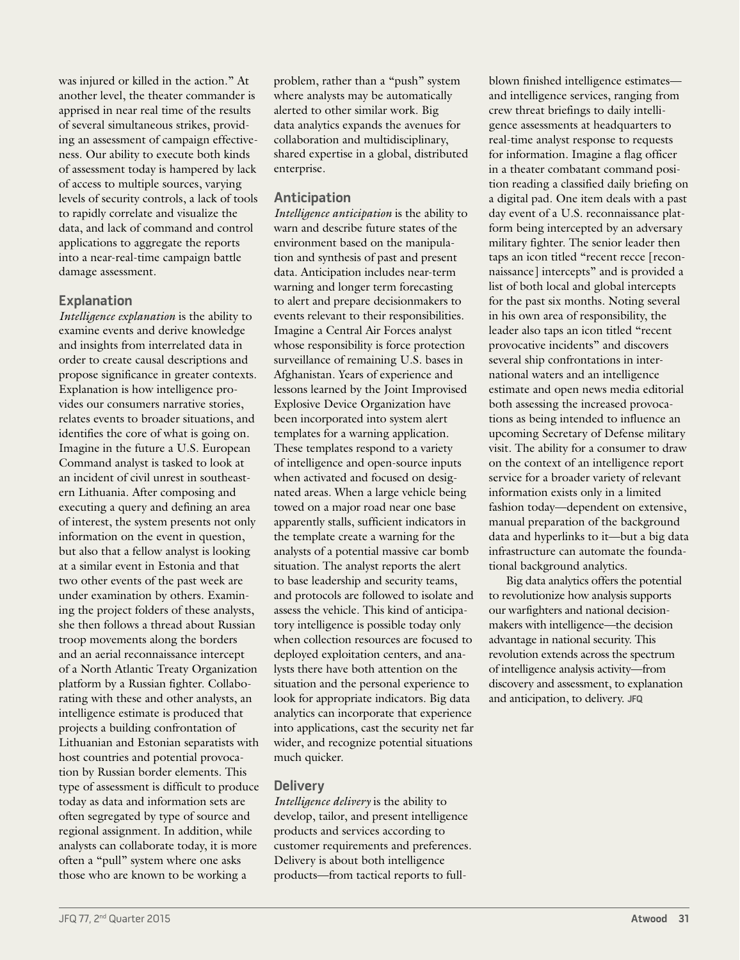was injured or killed in the action." At another level, the theater commander is apprised in near real time of the results of several simultaneous strikes, providing an assessment of campaign effectiveness. Our ability to execute both kinds of assessment today is hampered by lack of access to multiple sources, varying levels of security controls, a lack of tools to rapidly correlate and visualize the data, and lack of command and control applications to aggregate the reports into a near-real-time campaign battle damage assessment.

#### **Explanation**

*Intelligence explanation* is the ability to examine events and derive knowledge and insights from interrelated data in order to create causal descriptions and propose significance in greater contexts. Explanation is how intelligence provides our consumers narrative stories, relates events to broader situations, and identifies the core of what is going on. Imagine in the future a U.S. European Command analyst is tasked to look at an incident of civil unrest in southeastern Lithuania. After composing and executing a query and defining an area of interest, the system presents not only information on the event in question, but also that a fellow analyst is looking at a similar event in Estonia and that two other events of the past week are under examination by others. Examining the project folders of these analysts, she then follows a thread about Russian troop movements along the borders and an aerial reconnaissance intercept of a North Atlantic Treaty Organization platform by a Russian fighter. Collaborating with these and other analysts, an intelligence estimate is produced that projects a building confrontation of Lithuanian and Estonian separatists with host countries and potential provocation by Russian border elements. This type of assessment is difficult to produce today as data and information sets are often segregated by type of source and regional assignment. In addition, while analysts can collaborate today, it is more often a "pull" system where one asks those who are known to be working a

problem, rather than a "push" system where analysts may be automatically alerted to other similar work. Big data analytics expands the avenues for collaboration and multidisciplinary, shared expertise in a global, distributed enterprise.

#### **Anticipation**

*Intelligence anticipation* is the ability to warn and describe future states of the environment based on the manipulation and synthesis of past and present data. Anticipation includes near-term warning and longer term forecasting to alert and prepare decisionmakers to events relevant to their responsibilities. Imagine a Central Air Forces analyst whose responsibility is force protection surveillance of remaining U.S. bases in Afghanistan. Years of experience and lessons learned by the Joint Improvised Explosive Device Organization have been incorporated into system alert templates for a warning application. These templates respond to a variety of intelligence and open-source inputs when activated and focused on designated areas. When a large vehicle being towed on a major road near one base apparently stalls, sufficient indicators in the template create a warning for the analysts of a potential massive car bomb situation. The analyst reports the alert to base leadership and security teams, and protocols are followed to isolate and assess the vehicle. This kind of anticipatory intelligence is possible today only when collection resources are focused to deployed exploitation centers, and analysts there have both attention on the situation and the personal experience to look for appropriate indicators. Big data analytics can incorporate that experience into applications, cast the security net far wider, and recognize potential situations much quicker.

#### **Delivery**

*Intelligence delivery* is the ability to develop, tailor, and present intelligence products and services according to customer requirements and preferences. Delivery is about both intelligence products—from tactical reports to fullblown finished intelligence estimates and intelligence services, ranging from crew threat briefings to daily intelligence assessments at headquarters to real-time analyst response to requests for information. Imagine a flag officer in a theater combatant command position reading a classified daily briefing on a digital pad. One item deals with a past day event of a U.S. reconnaissance platform being intercepted by an adversary military fighter. The senior leader then taps an icon titled "recent recce [reconnaissance] intercepts" and is provided a list of both local and global intercepts for the past six months. Noting several in his own area of responsibility, the leader also taps an icon titled "recent provocative incidents" and discovers several ship confrontations in international waters and an intelligence estimate and open news media editorial both assessing the increased provocations as being intended to influence an upcoming Secretary of Defense military visit. The ability for a consumer to draw on the context of an intelligence report service for a broader variety of relevant information exists only in a limited fashion today—dependent on extensive, manual preparation of the background data and hyperlinks to it—but a big data infrastructure can automate the foundational background analytics.

Big data analytics offers the potential to revolutionize how analysis supports our warfighters and national decisionmakers with intelligence—the decision advantage in national security. This revolution extends across the spectrum of intelligence analysis activity—from discovery and assessment, to explanation and anticipation, to delivery. **JFQ**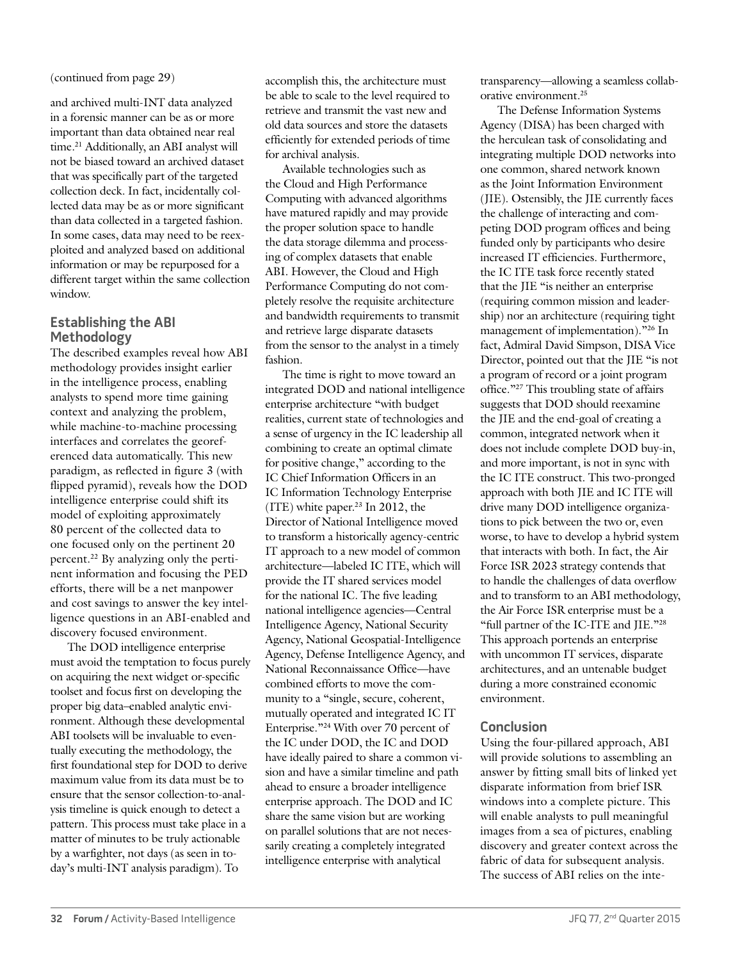(continued from page 29)

and archived multi-INT data analyzed in a forensic manner can be as or more important than data obtained near real time.<sup>21</sup> Additionally, an ABI analyst will not be biased toward an archived dataset that was specifically part of the targeted collection deck. In fact, incidentally collected data may be as or more significant than data collected in a targeted fashion. In some cases, data may need to be reexploited and analyzed based on additional information or may be repurposed for a different target within the same collection window.

#### **Establishing the ABI Methodology**

The described examples reveal how ABI methodology provides insight earlier in the intelligence process, enabling analysts to spend more time gaining context and analyzing the problem, while machine-to-machine processing interfaces and correlates the georeferenced data automatically. This new paradigm, as reflected in figure 3 (with flipped pyramid), reveals how the DOD intelligence enterprise could shift its model of exploiting approximately 80 percent of the collected data to one focused only on the pertinent 20 percent.22 By analyzing only the pertinent information and focusing the PED efforts, there will be a net manpower and cost savings to answer the key intelligence questions in an ABI-enabled and discovery focused environment.

The DOD intelligence enterprise must avoid the temptation to focus purely on acquiring the next widget or-specific toolset and focus first on developing the proper big data–enabled analytic environment. Although these developmental ABI toolsets will be invaluable to eventually executing the methodology, the first foundational step for DOD to derive maximum value from its data must be to ensure that the sensor collection-to-analysis timeline is quick enough to detect a pattern. This process must take place in a matter of minutes to be truly actionable by a warfighter, not days (as seen in today's multi-INT analysis paradigm). To

accomplish this, the architecture must be able to scale to the level required to retrieve and transmit the vast new and old data sources and store the datasets efficiently for extended periods of time for archival analysis.

Available technologies such as the Cloud and High Performance Computing with advanced algorithms have matured rapidly and may provide the proper solution space to handle the data storage dilemma and processing of complex datasets that enable ABI. However, the Cloud and High Performance Computing do not completely resolve the requisite architecture and bandwidth requirements to transmit and retrieve large disparate datasets from the sensor to the analyst in a timely fashion.

The time is right to move toward an integrated DOD and national intelligence enterprise architecture "with budget realities, current state of technologies and a sense of urgency in the IC leadership all combining to create an optimal climate for positive change," according to the IC Chief Information Officers in an IC Information Technology Enterprise (ITE) white paper.23 In 2012, the Director of National Intelligence moved to transform a historically agency-centric IT approach to a new model of common architecture—labeled IC ITE, which will provide the IT shared services model for the national IC. The five leading national intelligence agencies—Central Intelligence Agency, National Security Agency, National Geospatial-Intelligence Agency, Defense Intelligence Agency, and National Reconnaissance Office—have combined efforts to move the community to a "single, secure, coherent, mutually operated and integrated IC IT Enterprise."24 With over 70 percent of the IC under DOD, the IC and DOD have ideally paired to share a common vision and have a similar timeline and path ahead to ensure a broader intelligence enterprise approach. The DOD and IC share the same vision but are working on parallel solutions that are not necessarily creating a completely integrated intelligence enterprise with analytical

transparency—allowing a seamless collaborative environment.25

The Defense Information Systems Agency (DISA) has been charged with the herculean task of consolidating and integrating multiple DOD networks into one common, shared network known as the Joint Information Environment (JIE). Ostensibly, the JIE currently faces the challenge of interacting and competing DOD program offices and being funded only by participants who desire increased IT efficiencies. Furthermore, the IC ITE task force recently stated that the JIE "is neither an enterprise (requiring common mission and leadership) nor an architecture (requiring tight management of implementation)."26 In fact, Admiral David Simpson, DISA Vice Director, pointed out that the JIE "is not a program of record or a joint program office."27 This troubling state of affairs suggests that DOD should reexamine the JIE and the end-goal of creating a common, integrated network when it does not include complete DOD buy-in, and more important, is not in sync with the IC ITE construct. This two-pronged approach with both JIE and IC ITE will drive many DOD intelligence organizations to pick between the two or, even worse, to have to develop a hybrid system that interacts with both. In fact, the Air Force ISR 2023 strategy contends that to handle the challenges of data overflow and to transform to an ABI methodology, the Air Force ISR enterprise must be a "full partner of the IC-ITE and JIE."28 This approach portends an enterprise with uncommon IT services, disparate architectures, and an untenable budget during a more constrained economic environment.

#### **Conclusion**

Using the four-pillared approach, ABI will provide solutions to assembling an answer by fitting small bits of linked yet disparate information from brief ISR windows into a complete picture. This will enable analysts to pull meaningful images from a sea of pictures, enabling discovery and greater context across the fabric of data for subsequent analysis. The success of ABI relies on the inte-